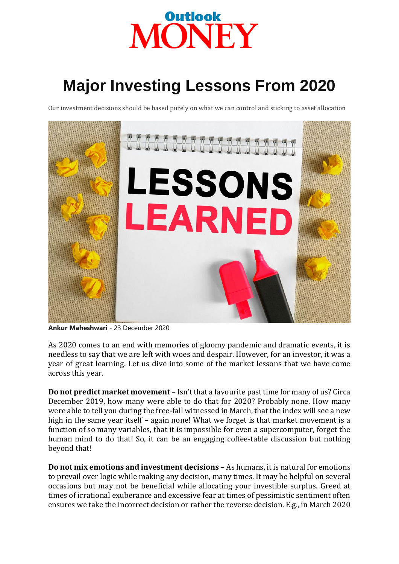

## **Major Investing Lessons From 2020**

Our investment decisions should be based purely on what we can control and sticking to asset allocation



**[Ankur Maheshwari](https://www.outlookindia.com/outlookmoney/author/ankur-maheshwari)** - 23 December 2020

As 2020 comes to an end with memories of gloomy pandemic and dramatic events, it is needless to say that we are left with woes and despair. However, for an investor, it was a year of great learning. Let us dive into some of the market lessons that we have come across this year.

**Do not predict market movement** – Isn't that a favourite past time for many of us? Circa December 2019, how many were able to do that for 2020? Probably none. How many were able to tell you during the free-fall witnessed in March, that the index will see a new high in the same year itself – again none! What we forget is that market movement is a function of so many variables, that it is impossible for even a supercomputer, forget the human mind to do that! So, it can be an engaging coffee-table discussion but nothing beyond that!

**Do not mix emotions and investment decisions** – As humans, it is natural for emotions to prevail over logic while making any decision, many times. It may be helpful on several occasions but may not be beneficial while allocating your investible surplus. Greed at times of irrational exuberance and excessive fear at times of pessimistic sentiment often ensures we take the incorrect decision or rather the reverse decision. E.g., in March 2020